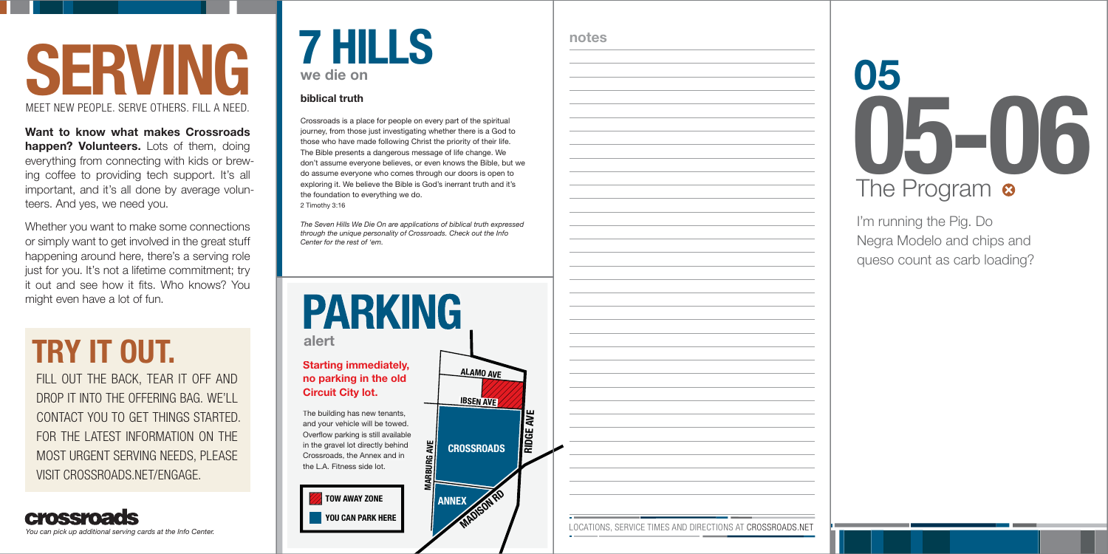**alert**

## **Startin g immediately, no parki ng in t he oldCircuit City lot.**

The building has new tenants, and your vehicle will be towed. Overflow parking is still available in the gravel lot directly behind Crossroads, the Annex and in the L.A. Fitness side lot.

## **biblical truth**

# **05-06 05** The Program **a**

Crossroads is a place for people on every part of the spiritual journey, from those just investigating whether there is a God to those who have made following Christ the priority of their life. The Bible presents a dangerous message of life change. We don't assume everyone believes, or even knows the Bible, but we do assume everyone who comes through our doors is open to exploring it. We believe the Bible is God's inerrant truth and it's the foundation to everything we do. 2 Timothy 3:16



*The Seven Hills We Die On are applications of biblical truth expressed through the unique personality of Crossroads. Check out the Info Center for the rest of 'em.*

# **TOW AWAY ZONE YOU CAN PARK HERE**

I'm running the Pig. Do Negra Modelo and chips and queso count as carb loading?





LOCATIONS, SERVICE TIMES AND DIRECTIONS AT CROSSROADS.NET

**Want to know what makes Crossroads happen? Volunteers.** Lots of them, doing everything from connecting with kids or brewing coffee to providing tech support. It's all important, and it's all done by average volunteers. And yes, we need you.

Whether you want to make some connections or simply want to get involved in the great stuff happening around here, there's a serving role just for you. It's not a lifetime commitment; try it out and see how it fits. Who knows? You might even have a lot of fun.

# **TRY IT OUT.**

FILL OUT THE BACK, TEAR IT OFF AND DROP IT INTO THE OFFERING BAG. WE'LL CONTACT YOU TO GET THINGS STARTED. FOR THE LATEST INFORMATION ON THE MOST URGENT SERVING NEEDS, PLEASE VISIT CROSSROADS.NET/ENGAGE.

# **SERVING** MEET NEW PEOPLE. SERVE OTHERS. FILL A NEED.

*You can pick up additional serving cards at the Info Center.*

**MARBURG AVE CROSSROADS**

**RIDGE AVI** 

**MADISON RD** 

**ALAMO AVE**

**ANNEX**

**IBSEN AVE**

# **PARKING**